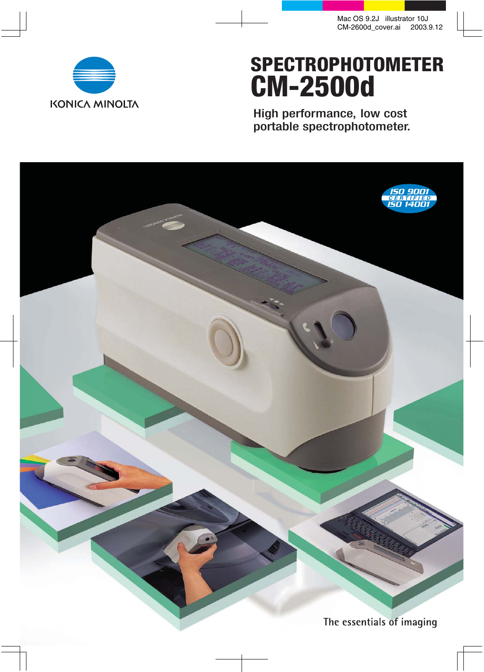

# **SPECTROPHOTOMETER CM-2500d**

High performance, low cost portable spectrophotometer.

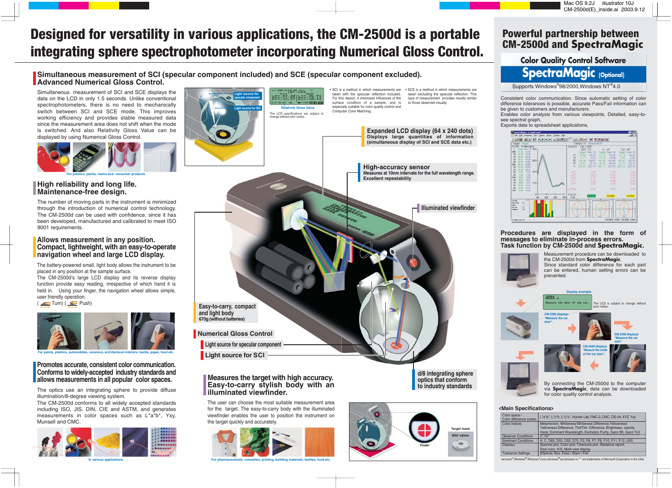# **Powerful partnership between CM-2500d and SpectraMagic**

Simultaneous measurement of SCI and SCE displays the data on the LCD in only 1.5 seconds. Unlike conventional spectrophotometers, there is no need to mechanically switch between SCI and SCE mode. This improves working efficiency and provides stable measured data since the measurement area does not shift when the mode is switched. And also Relativity Gloss Value can be displayed by using Numerical Gloss Control.

• SCI is a method in which measurements are taken with the specular reflection included. For this reason, it minimizes influences of the DISP EE EE BEEL surface condition of a sample, and is especially suitable for color quality control and Computer Color Matching.

• SCE is a method in which measurements are taken excluding the specular reflection. This type of measurement provides results similar to those observed visually.

The battery-powered small, light body allows the instrument to be placed in any position at the sample surface.

The number of moving parts in the instrument is minimized through the introduction of numerical control technology. The CM-2500d can be used with confidence, since it has been developed, manufactured and calibrated to meet ISO 9001 requirements.

The CM-2500d's large LCD display and its reverse display function provide easy reading, irrespective of which hand it is held in. Using your finger, the navigation wheel allows simple. user friendly operation.

 $\left($   $\right)$  Turn)  $\left($   $\right)$  Push

![](_page_1_Picture_10.jpeg)

The optics use an integrating sphere to provide diffuse illumination/8-degree viewing system.

The CM-2500d conforms to all widely accepted standards including ISO, JIS, DIN, CIE and ASTM, and generates measurements in color spaces such as L\*a\*b\*, Yxy, Munsell and CMC.

![](_page_1_Picture_15.jpeg)

## **Promotes accurate, consistent color communication. Conforms to widely-accepted industry standards and allows measurements in all popular color spaces.**

The user can choose the most suitable measurement area for the target. The easy-to-carry body with the illuminated viewfinder enables the user to position the instrument on the target quickly and accurately.

![](_page_1_Picture_21.jpeg)

### **Allows measurement in any position. Compact, lightweight, with an easy-to-operate navigation wheel and large LCD display.**

![](_page_1_Picture_33.jpeg)

## **Simultaneous measurement of SCI (specular component included) and SCE (specular component excluded). Advanced Numerical Gloss Control.**

# **Color Quality Control Software SpectraMagic (Optional)**

Supports Windows®98/2000, Windows NT®4.0

### **High reliability and long life. Maintenance-free design.**

![](_page_1_Figure_23.jpeg)

### **Procedures are displayed in the form of messages to eliminate in-process errors. Task function by CM-2500d and SpectraMagic.**

![](_page_1_Picture_32.jpeg)

via **SpectraMagic**, data can be downloaded for color quality control analysis.

### **<Main Specifications>**

**For paints, plastics, automobiles, ceramics, architectural interiors, textile, paper, food etc.**

![](_page_1_Picture_19.jpeg)

# **Designed for versatility in various applications, the CM-2500d is a portable integrating sphere spectrophotometer incorporating Numerical Gloss Control.**

![](_page_1_Figure_16.jpeg)

| Color space /<br>Color difference scales | L*a*b*, L*c*h, L*u*v*, Hunter Lab, FMC-2, CMC, CIE-94, XYZ, Yxy   |
|------------------------------------------|-------------------------------------------------------------------|
| <b>Color indices</b>                     | Metamerism, Whiteness/Whiteness Difference, Yellowness/           |
|                                          | Yellowness Difference, Tint/Tint Difference, Brightness, opacity, |
|                                          | Haze, Dominant Wavelength, Excitation Purity, Ganz WI, Ganz Tint  |
| <b>Observer Conditions</b>               | $2^\circ, 10^\circ$                                               |
| <b>Illuminant Conditions</b>             | A, C, D65, D50, D55, D75, F2, F6, F7, F8, F10, F11, F12, U50      |
| <b>Displays</b>                          | Spectral plot, Color plot, Tolerance plot, Statistical report,    |
|                                          | Real color, K/S, Multi-view display                               |
| <b>Tolerance Settings</b>                | Elliptical, Box, Pass / Warn / Fail                               |

Microsoft<sup>®</sup>, Windows<sup>®</sup>, Windows<sup>®</sup>2000, Windows<sup>®98</sup>, Windows NT<sup>®</sup> are trademarks of Microsoft Corporation in the USA.

![](_page_1_Picture_3.jpeg)

**In various applications For pharmaceuticals, cosmetics, printing, building materials, textiles, food etc.**

Consistent color communication. Since automatic setting of color difference tolerances is possible, accurate Pass/Fail information can be given to customers and manufacturers.

Enables color analysis from various viewpoints. Detailed, easy-tosee spectral graph.

Exports data to spreadsheet applications.

![](_page_1_Figure_30.jpeg)